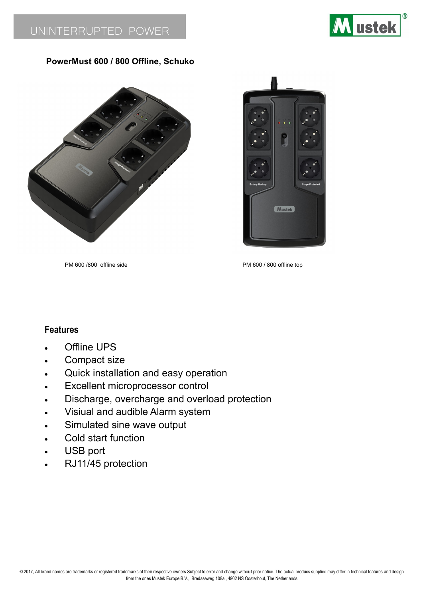# UNINTERRUPTED POWER



### **PowerMust 600 / 800 Offline, Schuko**



PM 600 /800 offline side PM 600 / 800 offline top



## **Features**

- Offline UPS
- Compact size
- Quick installation and easy operation
- Excellent microprocessor control
- Discharge, overcharge and overload protection
- Visiual and audible Alarm system
- Simulated sine wave output
- Cold start function
- USB port
- RJ11/45 protection